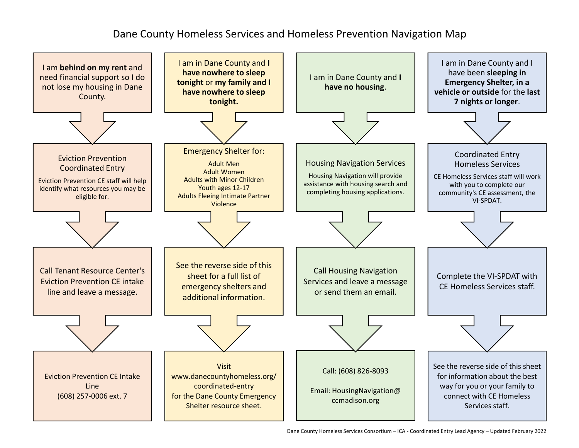## Dane County Homeless Services and Homeless Prevention Navigation Map